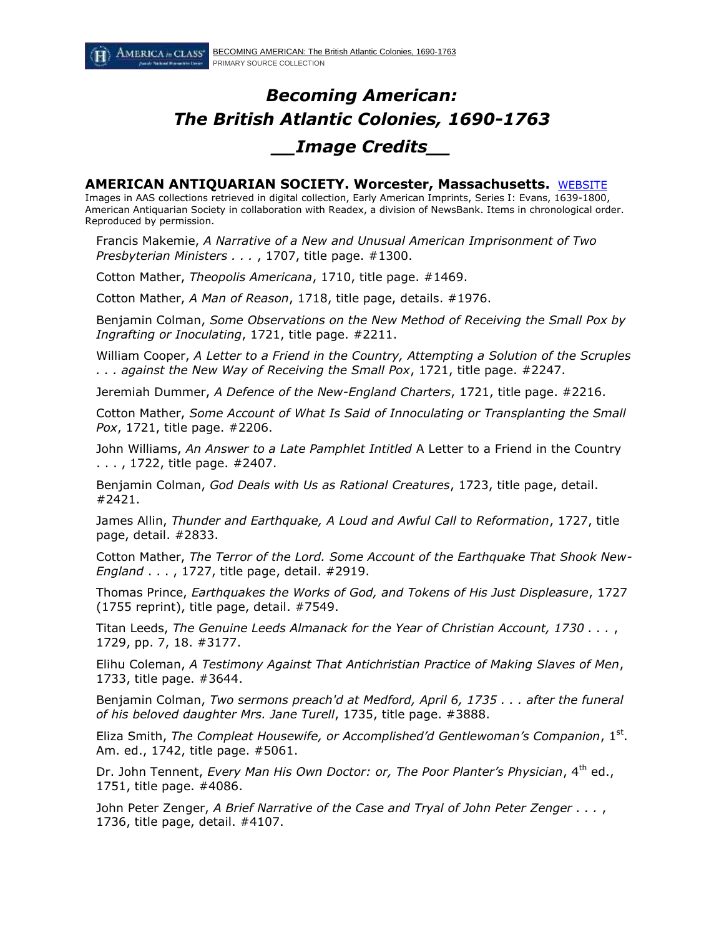# *Becoming American: The British Atlantic Colonies, 1690-1763 \_\_Image Credits\_\_*

### **AMERICAN ANTIQUARIAN SOCIETY. Worcester, Massachusetts.** [WEBSITE](http://www.americanantiquarian.org/)

Images in AAS collections retrieved in digital collection, Early American Imprints, Series I: Evans, 1639-1800, American Antiquarian Society in collaboration with Readex, a division of NewsBank. Items in chronological order. Reproduced by permission.

Francis Makemie, *A Narrative of a New and Unusual American Imprisonment of Two Presbyterian Ministers . . .* , 1707, title page. #1300.

Cotton Mather, *Theopolis Americana*, 1710, title page. #1469.

Cotton Mather, *A Man of Reason*, 1718, title page, details. #1976.

Benjamin Colman, *Some Observations on the New Method of Receiving the Small Pox by Ingrafting or Inoculating*, 1721, title page. #2211.

William Cooper, *A Letter to a Friend in the Country, Attempting a Solution of the Scruples . . . against the New Way of Receiving the Small Pox*, 1721, title page. #2247.

Jeremiah Dummer, *A Defence of the New-England Charters*, 1721, title page. #2216.

Cotton Mather, *Some Account of What Is Said of Innoculating or Transplanting the Small Pox*, 1721, title page. #2206.

John Williams, *An Answer to a Late Pamphlet Intitled* A Letter to a Friend in the Country . . . , 1722, title page. #2407.

Benjamin Colman, *God Deals with Us as Rational Creatures*, 1723, title page, detail. #2421.

James Allin, *Thunder and Earthquake, A Loud and Awful Call to Reformation*, 1727, title page, detail. #2833.

Cotton Mather, *The Terror of the Lord. Some Account of the Earthquake That Shook New-England* . . . , 1727, title page, detail. #2919.

Thomas Prince, *Earthquakes the Works of God, and Tokens of His Just Displeasure*, 1727 (1755 reprint), title page, detail. #7549.

Titan Leeds, *The Genuine Leeds Almanack for the Year of Christian Account, 1730 . . .* , 1729, pp. 7, 18. #3177.

Elihu Coleman, *A Testimony Against That Antichristian Practice of Making Slaves of Men*, 1733, title page. #3644.

Benjamin Colman, *Two sermons preach'd at Medford, April 6, 1735 . . . after the funeral of his beloved daughter Mrs. Jane Turell*, 1735, title page. #3888.

Eliza Smith, *The Compleat Housewife, or Accomplished'd Gentlewoman's Companion*, 1st. Am. ed., 1742, title page. #5061.

Dr. John Tennent, *Every Man His Own Doctor: or, The Poor Planter's Physician*, 4<sup>th</sup> ed., 1751, title page. #4086.

John Peter Zenger, *A Brief Narrative of the Case and Tryal of John Peter Zenger . . .* , 1736, title page, detail. #4107.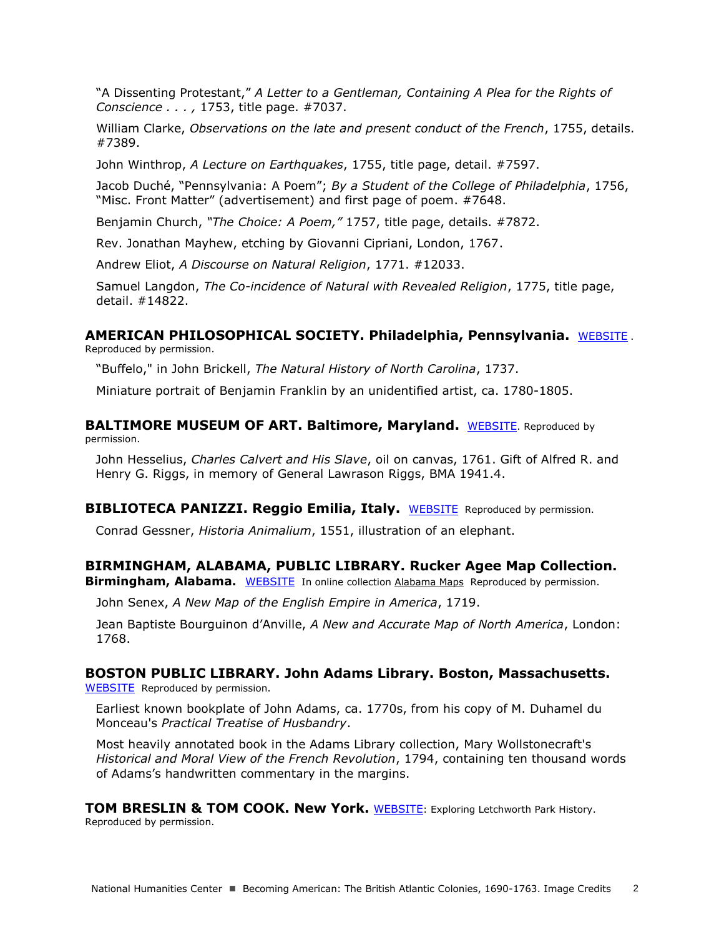"A Dissenting Protestant," *A Letter to a Gentleman, Containing A Plea for the Rights of Conscience . . . ,* 1753, title page. #7037.

William Clarke, *Observations on the late and present conduct of the French*, 1755, details. #7389.

John Winthrop, *A Lecture on Earthquakes*, 1755, title page, detail. #7597.

Jacob Duché, "Pennsylvania: A Poem"; *By a Student of the College of Philadelphia*, 1756, "Misc. Front Matter" (advertisement) and first page of poem. #7648.

Benjamin Church, *"The Choice: A Poem,"* 1757, title page, details. #7872.

Rev. Jonathan Mayhew, etching by Giovanni Cipriani, London, 1767.

Andrew Eliot, *A Discourse on Natural Religion*, 1771. #12033.

Samuel Langdon, *The Co-incidence of Natural with Revealed Religion*, 1775, title page, detail. #14822.

#### **AMERICAN PHILOSOPHICAL SOCIETY. Philadelphia, Pennsylvania.** [WEBSITE](http://www.amphilsoc.org/) .

Reproduced by permission.

"Buffelo," in John Brickell, *The Natural History of North Carolina*, 1737.

Miniature portrait of Benjamin Franklin by an unidentified artist, ca. 1780-1805.

**BALTIMORE MUSEUM OF ART. Baltimore, Maryland.** [WEBSITE](http://www.artbma.org/). Reproduced by permission.

John Hesselius, *Charles Calvert and His Slave*, oil on canvas, 1761. Gift of Alfred R. and Henry G. Riggs, in memory of General Lawrason Riggs, BMA 1941.4.

**BIBLIOTECA PANIZZI. Reggio Emilia, Italy.** [WEBSITE](http://panizzi.comune.re.it/index.jsp) Reproduced by permission.

Conrad Gessner, *Historia Animalium*, 1551, illustration of an elephant.

### **BIRMINGHAM, ALABAMA, PUBLIC LIBRARY. Rucker Agee Map Collection. Birmingham, Alabama.** [WEBSITE](http://www.bplonline.org/resources/maps/) In online collectio[n Alabama Maps](http://alabamamaps.ua.edu/historicalmaps/unitedstates/1751-1775.html) Reproduced by permission.

John Senex, *A New Map of the English Empire in America*, 1719.

Jean Baptiste Bourguinon d'Anville, *A New and Accurate Map of North America*, London: 1768.

### **BOSTON PUBLIC LIBRARY. John Adams Library. Boston, Massachusetts.**

[WEBSITE](http://www.bpl.org/) Reproduced by permission.

Earliest known bookplate of John Adams, ca. 1770s, from his copy of M. Duhamel du Monceau's *Practical Treatise of Husbandry*.

Most heavily annotated book in the Adams Library collection, Mary Wollstonecraft's *Historical and Moral View of the French Revolution*, 1794, containing ten thousand words of Adams's handwritten commentary in the margins.

**TOM BRESLIN & TOM COOK. New York.** [WEBSITE](http://www.letchworthparkhistory.com/table.html): Exploring Letchworth Park History. Reproduced by permission.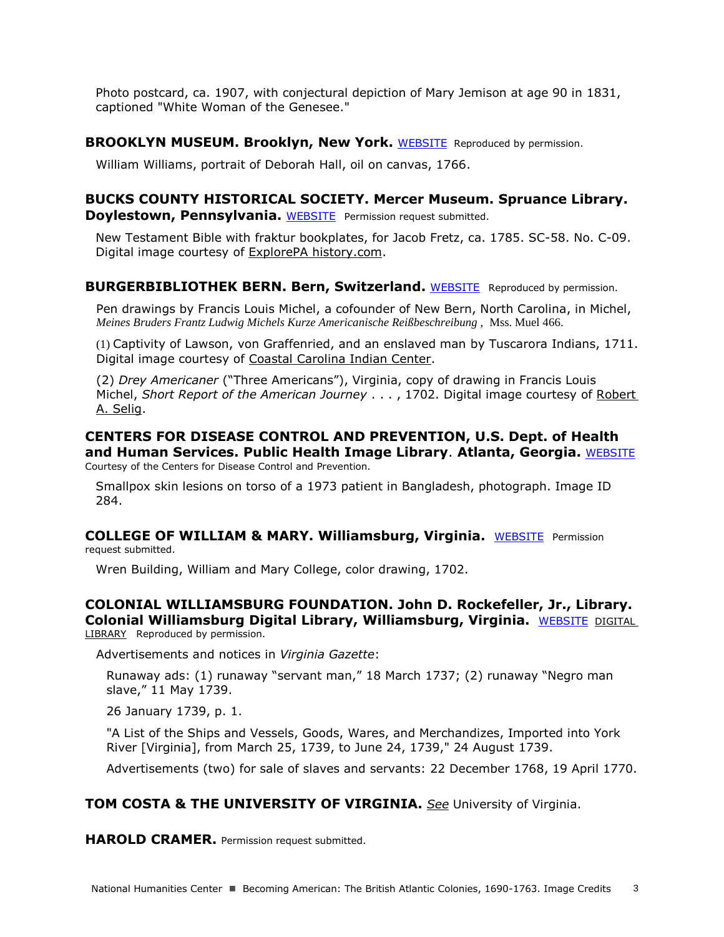Photo postcard, ca. 1907, with conjectural depiction of Mary Jemison at age 90 in 1831, captioned "White Woman of the Genesee."

**BROOKLYN MUSEUM. Brooklyn, New York.** [WEBSITE](http://www.brooklynmuseum.org/) Reproduced by permission.

William Williams, portrait of Deborah Hall, oil on canvas, 1766.

## **BUCKS COUNTY HISTORICAL SOCIETY. Mercer Museum. Spruance Library. Doylestown, Pennsylvania.** [WEBSITE](http://www.mercermuseum.org/) Permission request submitted.

New Testament Bible with fraktur bookplates, for Jacob Fretz, ca. 1785. SC-58. No. C-09. Digital image courtesy of [ExplorePA history.com.](http://explorepahistory.com/displayimage.php?imgId=1-2-365)

### **BURGERBIBLIOTHEK BERN. Bern, Switzerland.** [WEBSITE](http://www.burgerbib.ch/d/index.html) Reproduced by permission.

Pen drawings by Francis Louis Michel, a cofounder of New Bern, North Carolina, in Michel, *Meines Bruders Frantz Ludwig Michels Kurze Americanische Reißbeschreibung ,* Mss. Muel 466.

(1) Captivity of Lawson, von Graffenried, and an enslaved man by Tuscarora Indians, 1711. Digital image courtesy of [Coastal Carolina Indian Center.](http://www.coastalcarolinaindians.com/the-trial-of-christoph-von-graffenried-john-lawson/)

(2) *Drey Americaner* ("Three Americans"), Virginia, copy of drawing in Francis Louis Michel, *Short Report of the American Journey* . . . , 1702. Digital image courtesy of [Robert](http://www.patc.us/history/native/michel2.html)  [A. Selig.](http://www.patc.us/history/native/michel2.html)

**CENTERS FOR DISEASE CONTROL AND PREVENTION, U.S. Dept. of Health and Human Services. Public Health Image Library**. **Atlanta, Georgia.** [WEBSITE](http://phil.cdc.gov/phil/home.asp) Courtesy of the Centers for Disease Control and Prevention.

Smallpox skin lesions on torso of a 1973 patient in Bangladesh, photograph. Image ID 284.

**COLLEGE OF WILLIAM & MARY. Williamsburg, Virginia.** [WEBSITE](http://www.wm.edu/about/history/historiccampus/wrenbuilding/) Permission request submitted.

Wren Building, William and Mary College, color drawing, 1702.

**COLONIAL WILLIAMSBURG FOUNDATION. John D. Rockefeller, Jr., Library. Colonial Williamsburg Digital Library, Williamsburg, Virginia.** [WEBSITE](http://www.history.org/) DIGITAL [LIBRARY](http://research.history.org/Digital_History_Center.cfm) Reproduced by permission.

Advertisements and notices in *Virginia Gazette*:

Runaway ads: (1) runaway "servant man," 18 March 1737; (2) runaway "Negro man slave," 11 May 1739.

26 January 1739, p. 1.

"A List of the Ships and Vessels, Goods, Wares, and Merchandizes, Imported into York River [Virginia], from March 25, 1739, to June 24, 1739," 24 August 1739.

Advertisements (two) for sale of slaves and servants: 22 December 1768, 19 April 1770.

## **TOM COSTA & THE UNIVERSITY OF VIRGINIA.** *See* University of Virginia.

**HAROLD CRAMER.** Permission request submitted.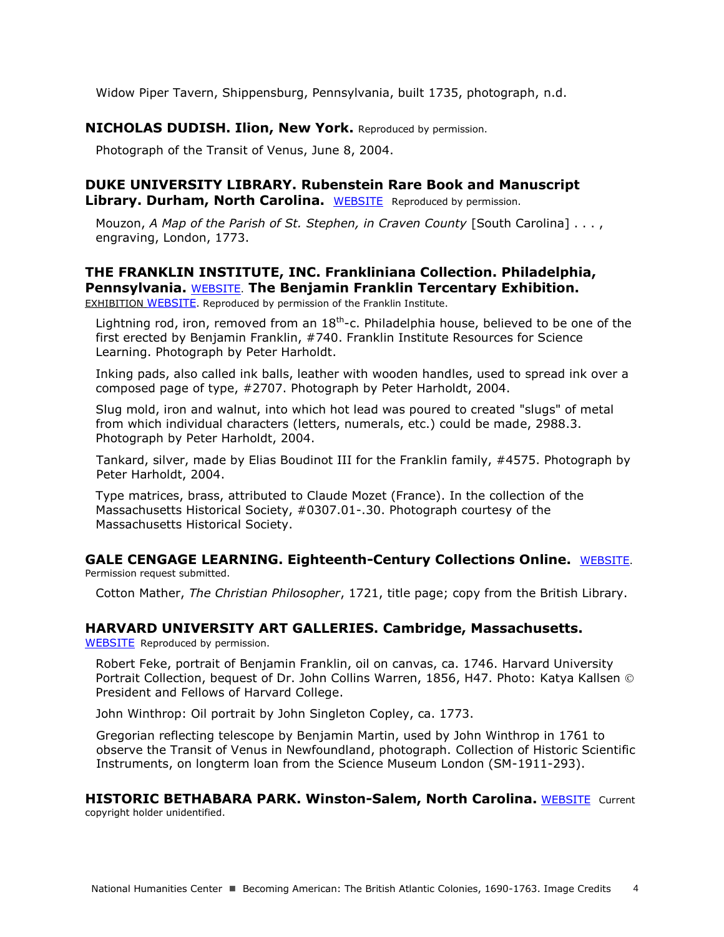Widow Piper Tavern, Shippensburg, Pennsylvania, built 1735, photograph, n.d.

### **NICHOLAS DUDISH. Ilion, New York.** Reproduced by permission.

Photograph of the Transit of Venus, June 8, 2004.

## **DUKE UNIVERSITY LIBRARY. Rubenstein Rare Book and Manuscript Library. Durham, North Carolina.** [WEBSITE](http://library.duke.edu/rubenstein/scriptorium/slavery/title.html) Reproduced by permission.

Mouzon, *A Map of the Parish of St. Stephen, in Craven County* [South Carolina] . . . , engraving, London, 1773.

## **THE FRANKLIN INSTITUTE, INC. Frankliniana Collection. Philadelphia, Pennsylvania.** [WEBSITE](http://www2.fi.edu/). **The Benjamin Franklin Tercentary Exhibition.**

[EXHIBITION](http://www.benfranklin300.org/frankliniana/) WEBSITE. Reproduced by permission of the Franklin Institute.

Lightning rod, iron, removed from an  $18<sup>th</sup>$ -c. Philadelphia house, believed to be one of the first erected by Benjamin Franklin, #740. Franklin Institute Resources for Science Learning. Photograph by Peter Harholdt.

Inking pads, also called ink balls, leather with wooden handles, used to spread ink over a composed page of type, #2707. Photograph by Peter Harholdt, 2004.

Slug mold, iron and walnut, into which hot lead was poured to created "slugs" of metal from which individual characters (letters, numerals, etc.) could be made, 2988.3. Photograph by Peter Harholdt, 2004.

Tankard, silver, made by Elias Boudinot III for the Franklin family, #4575. Photograph by Peter Harholdt, 2004.

Type matrices, brass, attributed to Claude Mozet (France). In the collection of the Massachusetts Historical Society, #0307.01-.30. Photograph courtesy of the Massachusetts Historical Society.

**GALE CENGAGE LEARNING. Eighteenth-Century Collections Online.** WEBSITE. Permission request submitted.

Cotton Mather, *The Christian Philosopher*, 1721, title page; copy from the British Library.

### **HARVARD UNIVERSITY ART GALLERIES. Cambridge, Massachusetts.**

[WEBSITE](http://www.harvardartmuseums.org/home/) Reproduced by permission.

Robert Feke, portrait of Benjamin Franklin, oil on canvas, ca. 1746. Harvard University Portrait Collection, bequest of Dr. John Collins Warren, 1856, H47. Photo: Katya Kallsen President and Fellows of Harvard College.

John Winthrop: Oil portrait by John Singleton Copley, ca. 1773.

Gregorian reflecting telescope by Benjamin Martin, used by John Winthrop in 1761 to observe the Transit of Venus in Newfoundland, photograph. Collection of Historic Scientific Instruments, on longterm loan from the Science Museum London (SM-1911-293).

**HISTORIC BETHABARA PARK. Winston-Salem, North Carolina.** [WEBSITE](http://www.cityofws.org/departments/recreation-parks/historic-bethabara) Current copyright holder unidentified.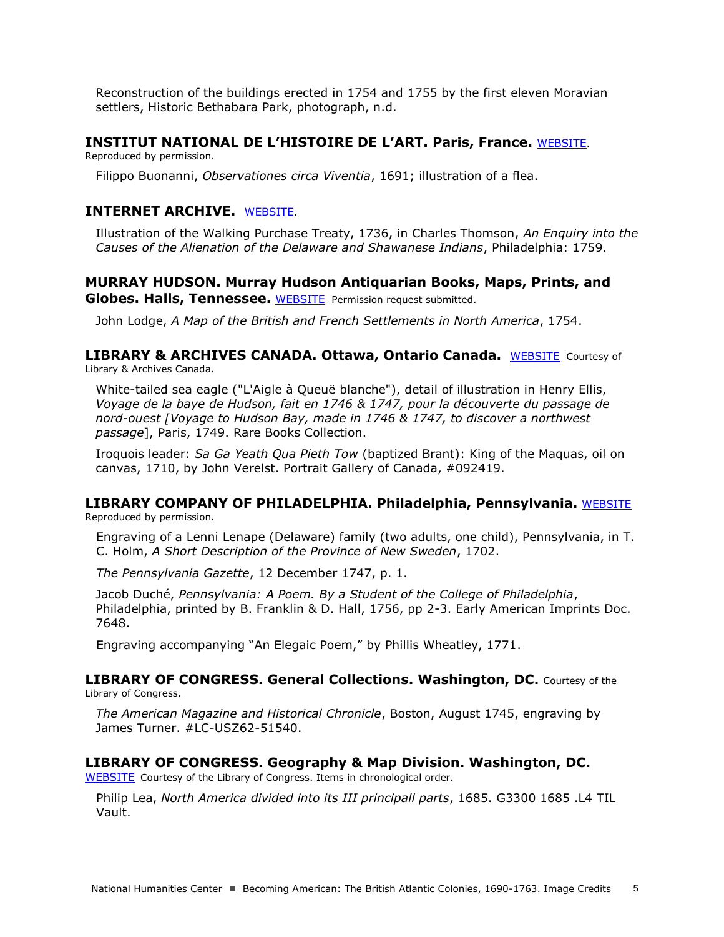Reconstruction of the buildings erected in 1754 and 1755 by the first eleven Moravian settlers, Historic Bethabara Park, photograph, n.d.

### **INSTITUT NATIONAL DE L'HISTOIRE DE L'ART. Paris, France.** [WEBSITE](http://www.inha.fr/fr/index.html).

Reproduced by permission.

Filippo Buonanni, *Observationes circa Viventia*, 1691; illustration of a flea.

## **INTERNET ARCHIVE.** [WEBSITE](http://archive.org/details/causesofalienati00thom).

Illustration of the Walking Purchase Treaty, 1736, in Charles Thomson, *An Enquiry into the Causes of the Alienation of the Delaware and Shawanese Indians*, Philadelphia: 1759.

## **MURRAY HUDSON. Murray Hudson Antiquarian Books, Maps, Prints, and Globes. Halls, Tennessee.** [WEBSITE](http://www.antiquemapsandglobes.com/) Permission request submitted.

John Lodge, *A Map of the British and French Settlements in North America*, 1754.

### **LIBRARY & ARCHIVES CANADA. Ottawa, Ontario Canada.** [WEBSITE](http://www.bac-lac.gc.ca/eng/Pages/home.aspx) Courtesy of Library & Archives Canada.

White-tailed sea eagle ("L'Aigle à Queuë blanche"), detail of illustration in Henry Ellis, *Voyage de la baye de Hudson, fait en 1746 & 1747, pour la découverte du passage de nord-ouest [Voyage to Hudson Bay, made in 1746 & 1747, to discover a northwest passage*], Paris, 1749. Rare Books Collection.

Iroquois leader: *Sa Ga Yeath Qua Pieth Tow* (baptized Brant): King of the Maquas, oil on canvas, 1710, by John Verelst. Portrait Gallery of Canada, #092419.

#### **LIBRARY COMPANY OF PHILADELPHIA. Philadelphia, Pennsylvania.** [WEBSITE](http://www.librarycompany.org/) Reproduced by permission.

Engraving of a Lenni Lenape (Delaware) family (two adults, one child), Pennsylvania, in T. C. Holm, *A Short Description of the Province of New Sweden*, 1702.

*The Pennsylvania Gazette*, 12 December 1747, p. 1.

Jacob Duché, *Pennsylvania: A Poem. By a Student of the College of Philadelphia*, Philadelphia, printed by B. Franklin & D. Hall, 1756, pp 2-3. Early American Imprints Doc. 7648.

Engraving accompanying "An Elegaic Poem," by Phillis Wheatley, 1771.

### **LIBRARY OF CONGRESS. General Collections. Washington, DC.** Courtesy of the Library of Congress.

*The American Magazine and Historical Chronicle*, Boston, August 1745, engraving by James Turner. #LC-USZ62-51540.

### **LIBRARY OF CONGRESS. Geography & Map Division. Washington, DC.**

[WEBSITE](http://memory.loc.gov/ammem/gmdhtml/) Courtesy of the Library of Congress. Items in chronological order.

Philip Lea, *North America divided into its III principall parts*, 1685. G3300 1685 .L4 TIL Vault.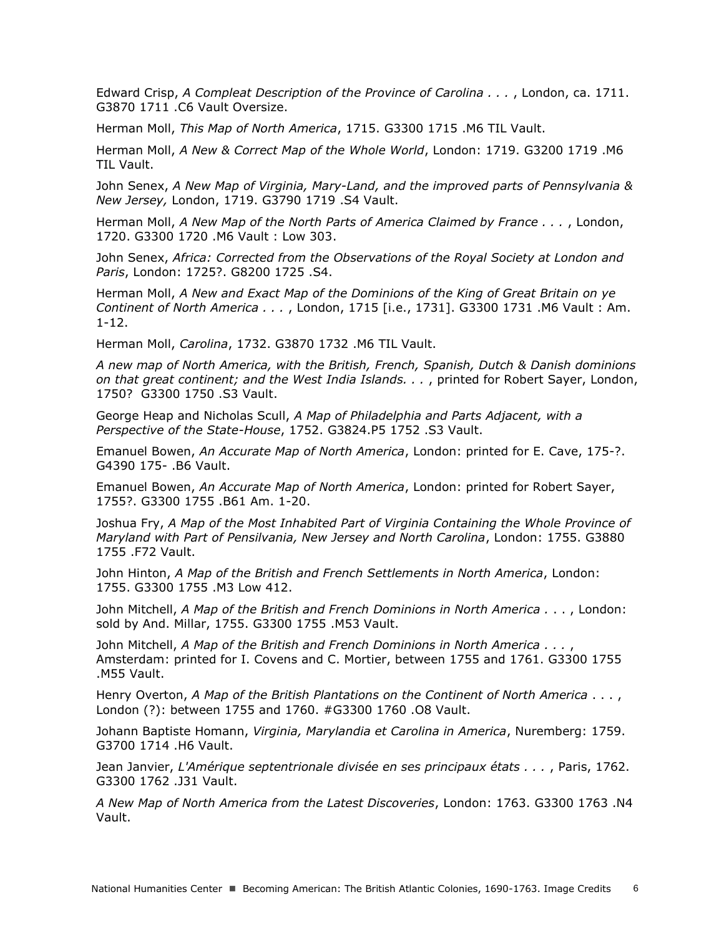Edward Crisp, *A Compleat Description of the Province of Carolina . . .* , London, ca. 1711. G3870 1711 .C6 Vault Oversize.

Herman Moll, *This Map of North America*, 1715. G3300 1715 .M6 TIL Vault.

Herman Moll, *A New & Correct Map of the Whole World*, London: 1719. G3200 1719 .M6 TIL Vault.

John Senex, *A New Map of Virginia, Mary-Land, and the improved parts of Pennsylvania & New Jersey,* London, 1719. G3790 1719 .S4 Vault.

Herman Moll, *A New Map of the North Parts of America Claimed by France . . .* , London, 1720. G3300 1720 .M6 Vault : Low 303.

John Senex, *Africa: Corrected from the Observations of the Royal Society at London and Paris*, London: 1725?. G8200 1725 .S4.

Herman Moll, *A New and Exact Map of the Dominions of the King of Great Britain on ye Continent of North America . . .* , London, 1715 [i.e., 1731]. G3300 1731 .M6 Vault : Am. 1-12.

Herman Moll, *Carolina*, 1732. G3870 1732 .M6 TIL Vault.

*A new map of North America, with the British, French, Spanish, Dutch & Danish dominions on that great continent; and the West India Islands. . .* , printed for Robert Sayer, London, 1750? G3300 1750 .S3 Vault.

George Heap and Nicholas Scull, *A Map of Philadelphia and Parts Adjacent, with a Perspective of the State-House*, 1752. G3824.P5 1752 .S3 Vault.

Emanuel Bowen, *An Accurate Map of North America*, London: printed for E. Cave, 175-?. G4390 175- .B6 Vault.

Emanuel Bowen, *An Accurate Map of North America*, London: printed for Robert Sayer, 1755?. G3300 1755 .B61 Am. 1-20.

Joshua Fry, *A Map of the Most Inhabited Part of Virginia Containing the Whole Province of Maryland with Part of Pensilvania, New Jersey and North Carolina*, London: 1755. G3880 1755 .F72 Vault.

John Hinton, *A Map of the British and French Settlements in North America*, London: 1755. G3300 1755 .M3 Low 412.

John Mitchell, *A Map of the British and French Dominions in North America .* . . , London: sold by And. Millar, 1755. G3300 1755 .M53 Vault.

John Mitchell, *A Map of the British and French Dominions in North America . . .* , Amsterdam: printed for I. Covens and C. Mortier, between 1755 and 1761. G3300 1755 .M55 Vault.

Henry Overton, *A Map of the British Plantations on the Continent of North America* . . . , London (?): between 1755 and 1760. #G3300 1760 .O8 Vault.

Johann Baptiste Homann, *Virginia, Marylandia et Carolina in America*, Nuremberg: 1759. G3700 1714 .H6 Vault.

Jean Janvier, *L'Amérique septentrionale divisée en ses principaux états . . .* , Paris, 1762. G3300 1762 .J31 Vault.

*A New Map of North America from the Latest Discoveries*, London: 1763. G3300 1763 .N4 Vault.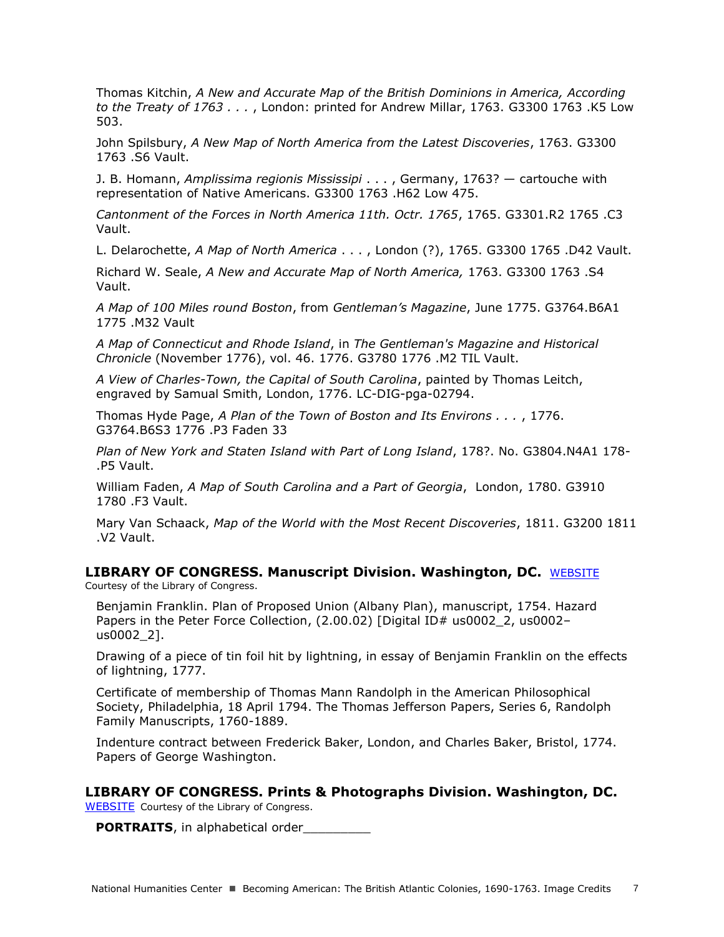Thomas Kitchin, *A New and Accurate Map of the British Dominions in America, According to the Treaty of 1763 . . .* , London: printed for Andrew Millar, 1763. G3300 1763 .K5 Low 503.

John Spilsbury, *A New Map of North America from the Latest Discoveries*, 1763. G3300 1763 .S6 Vault.

J. B. Homann, *Amplissima regionis Mississipi* . . . , Germany, 1763? — cartouche with representation of Native Americans. G3300 1763 .H62 Low 475.

*Cantonment of the Forces in North America 11th. Octr. 1765*, 1765. G3301.R2 1765 .C3 Vault.

L. Delarochette, *A Map of North America* . . . , London (?), 1765. G3300 1765 .D42 Vault.

Richard W. Seale, *A New and Accurate Map of North America,* 1763. G3300 1763 .S4 Vault.

*A Map of 100 Miles round Boston*, from *Gentleman's Magazine*, June 1775. G3764.B6A1 1775 .M32 Vault

*A Map of Connecticut and Rhode Island*, in *The Gentleman's Magazine and Historical Chronicle* (November 1776), vol. 46. 1776. G3780 1776 .M2 TIL Vault.

*A View of Charles-Town, the Capital of South Carolina*, painted by Thomas Leitch, engraved by Samual Smith, London, 1776. LC-DIG-pga-02794.

Thomas Hyde Page, *A Plan of the Town of Boston and Its Environs . . .* , 1776. G3764.B6S3 1776 .P3 Faden 33

*Plan of New York and Staten Island with Part of Long Island*, 178?. No. G3804.N4A1 178- .P5 Vault.

William Faden, *A Map of South Carolina and a Part of Georgia*, London, 1780. G3910 1780 .F3 Vault.

Mary Van Schaack, *Map of the World with the Most Recent Discoveries*, 1811. G3200 1811 .V2 Vault.

### **LIBRARY OF CONGRESS. Manuscript Division. Washington, DC.** [WEBSITE](http://www.loc.gov/rr/mss/)

Courtesy of the Library of Congress.

Benjamin Franklin. Plan of Proposed Union (Albany Plan), manuscript, 1754. Hazard Papers in the Peter Force Collection, (2.00.02) [Digital ID# us0002 2, us0002us0002\_2].

Drawing of a piece of tin foil hit by lightning, in essay of Benjamin Franklin on the effects of lightning, 1777.

Certificate of membership of Thomas Mann Randolph in the American Philosophical Society, Philadelphia, 18 April 1794. The Thomas Jefferson Papers, Series 6, Randolph Family Manuscripts, 1760-1889.

Indenture contract between Frederick Baker, London, and Charles Baker, Bristol, 1774. Papers of George Washington.

## **LIBRARY OF CONGRESS. Prints & Photographs Division. Washington, DC.**

[WEBSITE](http://www.loc.gov/pictures/#show_search_options) Courtesy of the Library of Congress.

**PORTRAITS**, in alphabetical order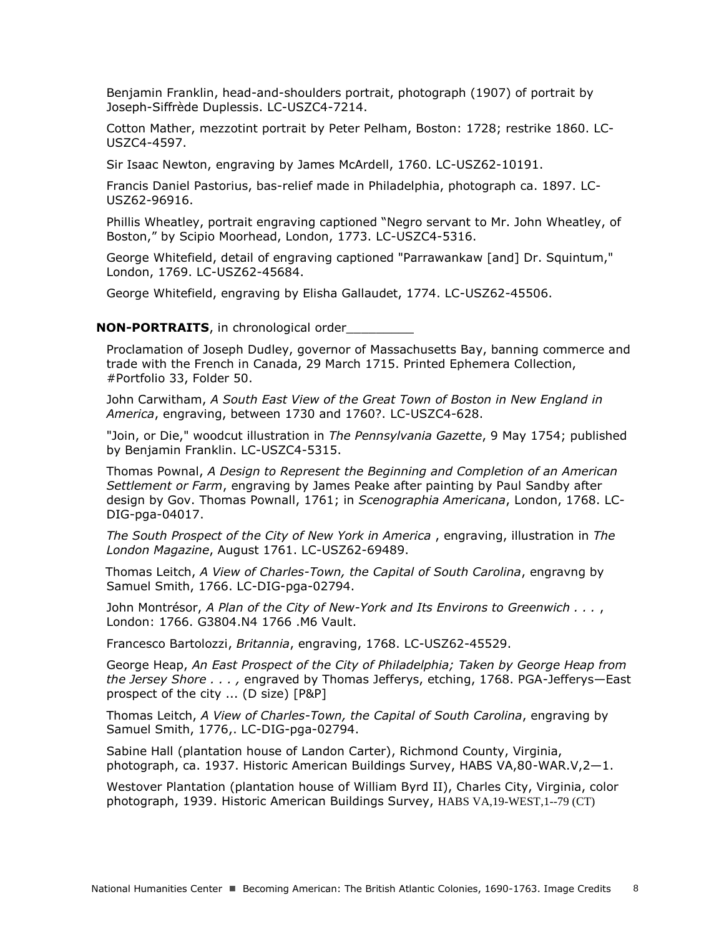Benjamin Franklin, head-and-shoulders portrait, photograph (1907) of portrait by Joseph-Siffrède Duplessis. LC-USZC4-7214.

Cotton Mather, mezzotint portrait by Peter Pelham, Boston: 1728; restrike 1860. LC-USZC4-4597.

Sir Isaac Newton, engraving by James McArdell, 1760. LC-USZ62-10191.

Francis Daniel Pastorius, bas-relief made in Philadelphia, photograph ca. 1897. LC-USZ62-96916.

Phillis Wheatley, portrait engraving captioned "Negro servant to Mr. John Wheatley, of Boston," by Scipio Moorhead, London, 1773. LC-USZC4-5316.

George Whitefield, detail of engraving captioned "Parrawankaw [and] Dr. Squintum," London, 1769. LC-USZ62-45684.

George Whitefield, engraving by Elisha Gallaudet, 1774. LC-USZ62-45506.

#### **NON-PORTRAITS**, in chronological order\_\_\_\_\_\_\_\_\_

Proclamation of Joseph Dudley, governor of Massachusetts Bay, banning commerce and trade with the French in Canada, 29 March 1715. Printed Ephemera Collection, #Portfolio 33, Folder 50.

John Carwitham, *A South East View of the Great Town of Boston in New England in America*, engraving, between 1730 and 1760?. LC-USZC4-628.

"Join, or Die," woodcut illustration in *The Pennsylvania Gazette*, 9 May 1754; published by Benjamin Franklin. LC-USZC4-5315.

Thomas Pownal, *A Design to Represent the Beginning and Completion of an American Settlement or Farm*, engraving by James Peake after painting by Paul Sandby after design by Gov. Thomas Pownall, 1761; in *Scenographia Americana*, London, 1768. LC-DIG-pga-04017.

*The South Prospect of the City of New York in America* , engraving, illustration in *The London Magazine*, August 1761. LC-USZ62-69489.

Thomas Leitch, *A View of Charles-Town, the Capital of South Carolina*, engravng by Samuel Smith, 1766. LC-DIG-pga-02794.

John Montrésor, *A Plan of the City of New-York and Its Environs to Greenwich . . .* , London: 1766. G3804.N4 1766 .M6 Vault.

Francesco Bartolozzi, *Britannia*, engraving, 1768. LC-USZ62-45529.

George Heap, *An East Prospect of the City of Philadelphia; Taken by George Heap from the Jersey Shore . . . ,* engraved by Thomas Jefferys, etching, 1768. PGA-Jefferys—East prospect of the city ... (D size) [P&P]

Thomas Leitch, *A View of Charles-Town, the Capital of South Carolina*, engraving by Samuel Smith, 1776,. LC-DIG-pga-02794.

Sabine Hall (plantation house of Landon Carter), Richmond County, Virginia, photograph, ca. 1937. Historic American Buildings Survey, HABS VA,80-WAR.V,2—1.

Westover Plantation (plantation house of William Byrd II), Charles City, Virginia, color photograph, 1939. Historic American Buildings Survey, HABS VA,19-WEST,1--79 (CT)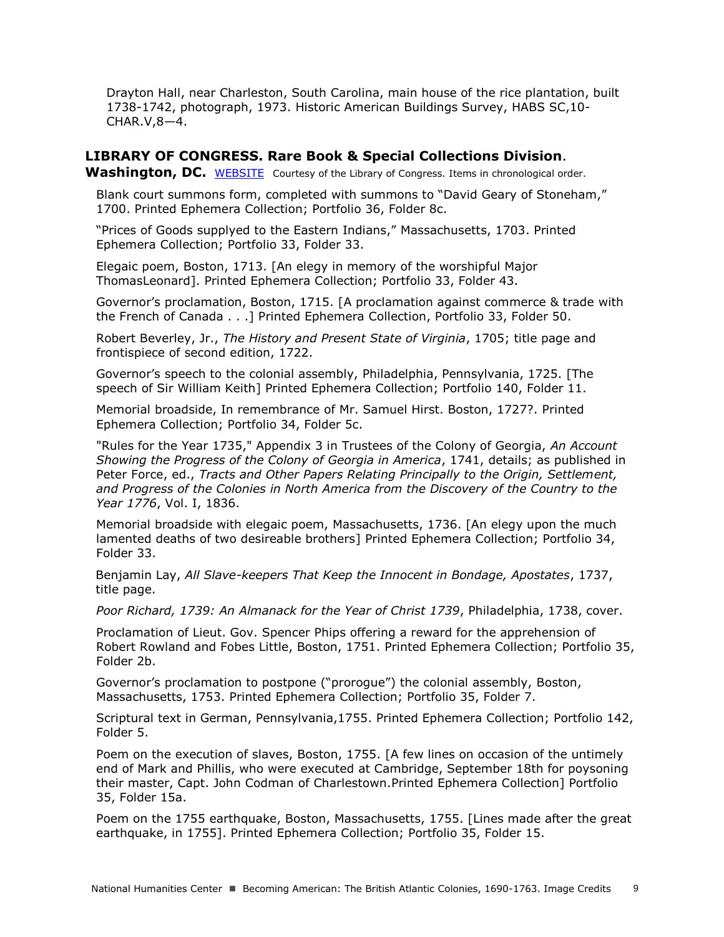Drayton Hall, near Charleston, South Carolina, main house of the rice plantation, built 1738-1742, photograph, 1973. Historic American Buildings Survey, HABS SC,10- CHAR.V,8—4.

## **LIBRARY OF CONGRESS. Rare Book & Special Collections Division**.

Washington, DC. [WEBSITE](http://www.loc.gov/pictures/#show_search_options) Courtesy of the Library of Congress. Items in chronological order.

Blank court summons form, completed with summons to "David Geary of Stoneham," 1700. Printed Ephemera Collection; Portfolio 36, Folder 8c.

"Prices of Goods supplyed to the Eastern Indians," Massachusetts, 1703. Printed Ephemera Collection; Portfolio 33, Folder 33.

Elegaic poem, Boston, 1713. [An elegy in memory of the worshipful Major ThomasLeonard]. Printed Ephemera Collection; Portfolio 33, Folder 43.

Governor's proclamation, Boston, 1715. [A proclamation against commerce & trade with the French of Canada . . .] Printed Ephemera Collection, Portfolio 33, Folder 50.

Robert Beverley, Jr., *The History and Present State of Virginia*, 1705; title page and frontispiece of second edition, 1722.

Governor's speech to the colonial assembly, Philadelphia, Pennsylvania, 1725. [The speech of Sir William Keith] Printed Ephemera Collection; Portfolio 140, Folder 11.

Memorial broadside, In remembrance of Mr. Samuel Hirst. Boston, 1727?. Printed Ephemera Collection; Portfolio 34, Folder 5c.

"Rules for the Year 1735," Appendix 3 in Trustees of the Colony of Georgia, *An Account Showing the Progress of the Colony of Georgia in America*, 1741, details; as published in Peter Force, ed., *Tracts and Other Papers Relating Principally to the Origin, Settlement, and Progress of the Colonies in North America from the Discovery of the Country to the Year 1776*, Vol. I, 1836.

Memorial broadside with elegaic poem, Massachusetts, 1736. [An elegy upon the much lamented deaths of two desireable brothers] Printed Ephemera Collection; Portfolio 34, Folder 33.

Benjamin Lay, *All Slave-keepers That Keep the Innocent in Bondage, Apostates*, 1737, title page.

*Poor Richard, 1739: An Almanack for the Year of Christ 1739*, Philadelphia, 1738, cover.

Proclamation of Lieut. Gov. Spencer Phips offering a reward for the apprehension of Robert Rowland and Fobes Little, Boston, 1751. Printed Ephemera Collection; Portfolio 35, Folder 2b.

Governor's proclamation to postpone ("prorogue") the colonial assembly, Boston, Massachusetts, 1753. Printed Ephemera Collection; Portfolio 35, Folder 7.

Scriptural text in German, Pennsylvania,1755. Printed Ephemera Collection; Portfolio 142, Folder 5.

Poem on the execution of slaves, Boston, 1755. [A few lines on occasion of the untimely end of Mark and Phillis, who were executed at Cambridge, September 18th for poysoning their master, Capt. John Codman of Charlestown.Printed Ephemera Collection] Portfolio 35, Folder 15a.

Poem on the 1755 earthquake, Boston, Massachusetts, 1755. [Lines made after the great earthquake, in 1755]. Printed Ephemera Collection; Portfolio 35, Folder 15.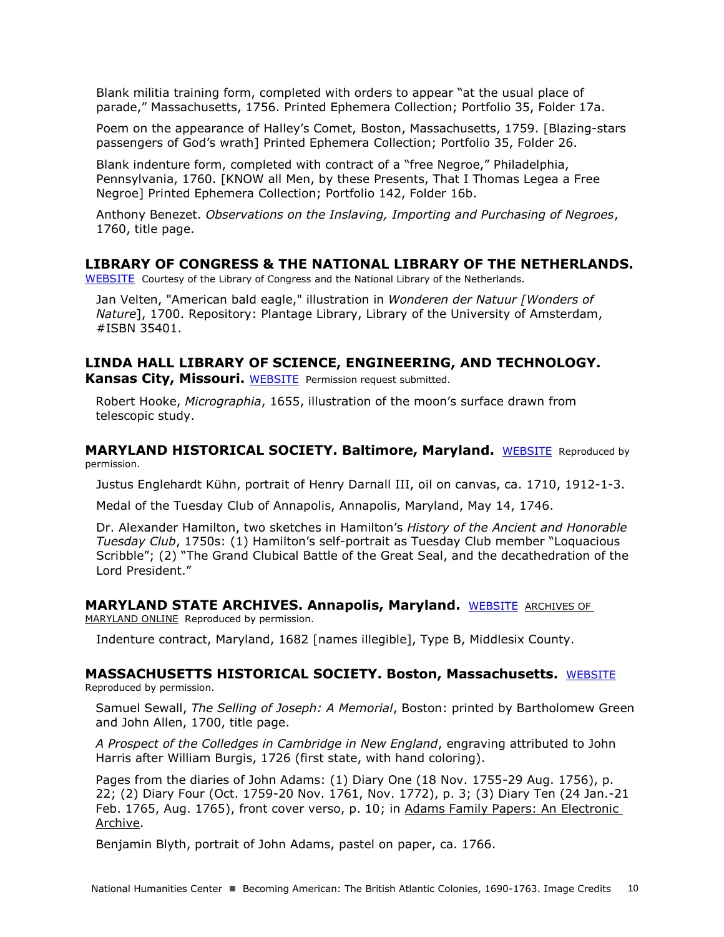Blank militia training form, completed with orders to appear "at the usual place of parade," Massachusetts, 1756. Printed Ephemera Collection; Portfolio 35, Folder 17a.

Poem on the appearance of Halley's Comet, Boston, Massachusetts, 1759. [Blazing-stars passengers of God's wrath] Printed Ephemera Collection; Portfolio 35, Folder 26.

Blank indenture form, completed with contract of a "free Negroe," Philadelphia, Pennsylvania, 1760. [KNOW all Men, by these Presents, That I Thomas Legea a Free Negroe] Printed Ephemera Collection; Portfolio 142, Folder 16b.

Anthony Benezet. *Observations on the Inslaving, Importing and Purchasing of Negroes*, 1760, title page.

### **LIBRARY OF CONGRESS & THE NATIONAL LIBRARY OF THE NETHERLANDS.**

[WEBSITE](http://international.loc.gov/intldl/awkbhtml/awkbhome.html) Courtesy of the Library of Congress and the National Library of the Netherlands.

Jan Velten, "American bald eagle," illustration in *Wonderen der Natuur [Wonders of Nature*], 1700. Repository: Plantage Library, Library of the University of Amsterdam, #ISBN 35401.

## **LINDA HALL LIBRARY OF SCIENCE, ENGINEERING, AND TECHNOLOGY.**

**Kansas City, Missouri.** [WEBSITE](https://www.lindahall.org/) Permission request submitted.

Robert Hooke, *Micrographia*, 1655, illustration of the moon's surface drawn from telescopic study.

**MARYLAND HISTORICAL SOCIETY. Baltimore, Maryland.** [WEBSITE](http://www.mdhs.org/) Reproduced by permission.

Justus Englehardt Kühn, portrait of Henry Darnall III, oil on canvas, ca. 1710, 1912-1-3.

Medal of the Tuesday Club of Annapolis, Annapolis, Maryland, May 14, 1746.

Dr. Alexander Hamilton, two sketches in Hamilton's *History of the Ancient and Honorable Tuesday Club*, 1750s: (1) Hamilton's self-portrait as Tuesday Club member "Loquacious Scribble"; (2) "The Grand Clubical Battle of the Great Seal, and the decathedration of the Lord President."

### **MARYLAND STATE ARCHIVES. Annapolis, Maryland.** [WEBSITE](http://msa.maryland.gov/) [ARCHIVES OF](http://www.aomol.net/html/index.html)

[MARYLAND ONLINE](http://www.aomol.net/html/index.html) Reproduced by permission.

Indenture contract, Maryland, 1682 [names illegible], Type B, Middlesix County.

## **MASSACHUSETTS HISTORICAL SOCIETY. Boston, Massachusetts.** [WEBSITE](http://www.masshist.org/)

Reproduced by permission.

Samuel Sewall, *The Selling of Joseph: A Memorial*, Boston: printed by Bartholomew Green and John Allen, 1700, title page.

*A Prospect of the Colledges in Cambridge in New England*, engraving attributed to John Harris after William Burgis, 1726 (first state, with hand coloring).

Pages from the diaries of John Adams: (1) Diary One (18 Nov. 1755-29 Aug. 1756), p. 22; (2) Diary Four (Oct. 1759-20 Nov. 1761, Nov. 1772), p. 3; (3) Diary Ten (24 Jan.-21 Feb. 1765, Aug. 1765), front cover verso, p. 10; in [Adams Family Papers: An Electronic](http://www.masshist.org/digitaladams/)  [Archive.](http://www.masshist.org/digitaladams/)

Benjamin Blyth, portrait of John Adams, pastel on paper, ca. 1766.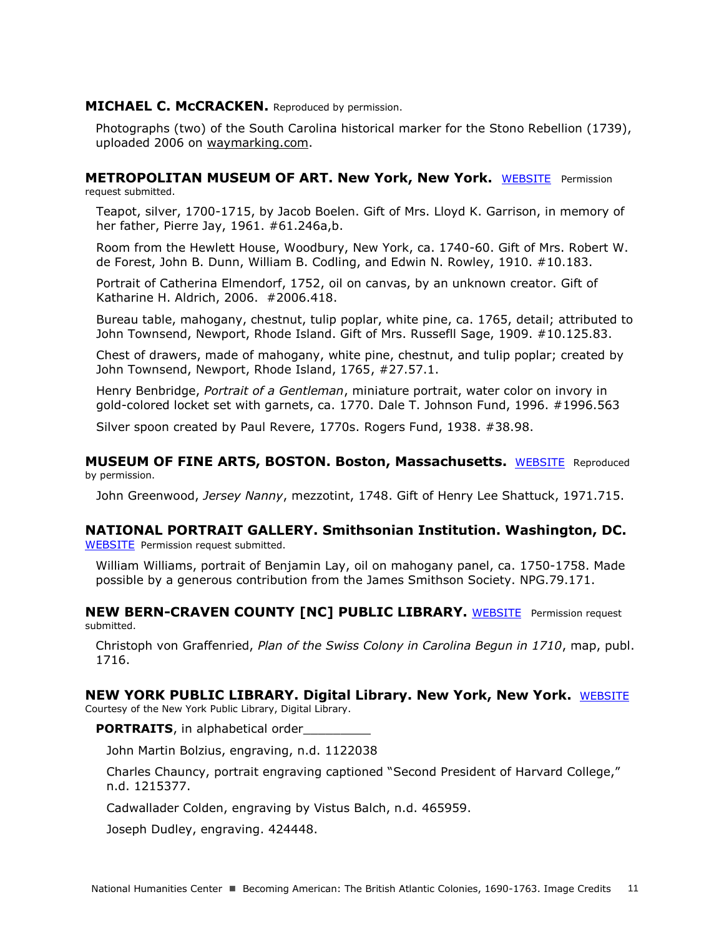### **MICHAEL C. MCCRACKEN.** Reproduced by permission.

Photographs (two) of the South Carolina historical marker for the Stono Rebellion (1739), uploaded 2006 on [waymarking.com.](http://www.waymarking.com/waymarks/WMV8D_10_48_The_Stono_Rebellion_1739)

### **METROPOLITAN MUSEUM OF ART. New York, New York.** [WEBSITE](http://www.metmuseum.org/) Permission request submitted.

Teapot, silver, 1700-1715, by Jacob Boelen. Gift of Mrs. Lloyd K. Garrison, in memory of her father, Pierre Jay, 1961. #61.246a,b.

Room from the Hewlett House, Woodbury, New York, ca. 1740-60. Gift of Mrs. Robert W. de Forest, John B. Dunn, William B. Codling, and Edwin N. Rowley, 1910. #10.183.

Portrait of Catherina Elmendorf, 1752, oil on canvas, by an unknown creator. Gift of Katharine H. Aldrich, 2006. #2006.418.

Bureau table, mahogany, chestnut, tulip poplar, white pine, ca. 1765, detail; attributed to John Townsend, Newport, Rhode Island. Gift of Mrs. Russefll Sage, 1909. #10.125.83.

Chest of drawers, made of mahogany, white pine, chestnut, and tulip poplar; created by John Townsend, Newport, Rhode Island, 1765, #27.57.1.

Henry Benbridge, *Portrait of a Gentleman*, miniature portrait, water color on invory in gold-colored locket set with garnets, ca. 1770. Dale T. Johnson Fund, 1996. #1996.563

Silver spoon created by Paul Revere, 1770s. Rogers Fund, 1938. #38.98.

**MUSEUM OF FINE ARTS, BOSTON. Boston, Massachusetts. [WEBSITE](http://www.mfa.org/) Reproduced** by permission.

John Greenwood, *Jersey Nanny*, mezzotint, 1748. Gift of Henry Lee Shattuck, 1971.715.

### **NATIONAL PORTRAIT GALLERY. Smithsonian Institution. Washington, DC.** [WEBSITE](http://www.npg.si.edu/) Permission request submitted.

William Williams, portrait of Benjamin Lay, oil on mahogany panel, ca. 1750-1758. Made possible by a generous contribution from the James Smithson Society. NPG.79.171.

**NEW [BERN-CRAVEN COUNTY \[NC\] PUBLIC LIBRARY.](http://newbern.cpclib.org/index.htm)** WEBSITE Permission request [submitted.](http://newbern.cpclib.org/index.htm)

Christoph von Graffenried, *[Plan of the Swiss Colony in Carolina Begun in 1710](http://newbern.cpclib.org/index.htm)*, map, publ. [1716.](http://newbern.cpclib.org/index.htm)

#### **NEW YORK PUBLIC LIBRARY. Digital Library. New York, New York.** [WEBSITE](http://digitalgallery.nypl.org/nypldigital/index.cfm) Courtesy of the New York Public Library, Digital Library.

**PORTRAITS**, in alphabetical order

John Martin Bolzius, engraving, n.d. 1122038

Charles Chauncy, portrait engraving captioned "Second President of Harvard College," n.d. 1215377.

Cadwallader Colden, engraving by Vistus Balch, n.d. 465959.

Joseph Dudley, engraving. 424448.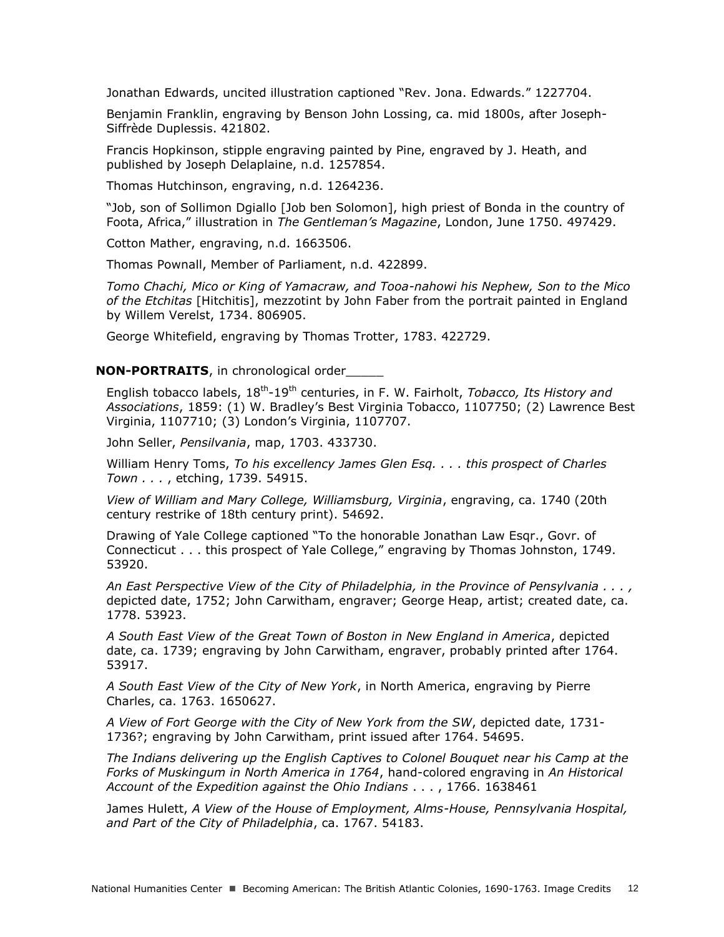Jonathan Edwards, uncited illustration captioned "Rev. Jona. Edwards." 1227704.

Benjamin Franklin, engraving by Benson John Lossing, ca. mid 1800s, after Joseph-Siffrède Duplessis. 421802.

Francis Hopkinson, stipple engraving painted by Pine, engraved by J. Heath, and published by Joseph Delaplaine, n.d. 1257854.

Thomas Hutchinson, engraving, n.d. 1264236.

"Job, son of Sollimon Dgiallo [Job ben Solomon], high priest of Bonda in the country of Foota, Africa," illustration in *The Gentleman's Magazine*, London, June 1750. 497429.

Cotton Mather, engraving, n.d. 1663506.

Thomas Pownall, Member of Parliament, n.d. 422899.

*Tomo Chachi, Mico or King of Yamacraw, and Tooa-nahowi his Nephew, Son to the Mico of the Etchitas* [Hitchitis], mezzotint by John Faber from the portrait painted in England by Willem Verelst, 1734. 806905.

George Whitefield, engraving by Thomas Trotter, 1783. 422729.

### **NON-PORTRAITS**, in chronological order\_\_\_\_\_

English tobacco labels, 18<sup>th</sup>-19<sup>th</sup> centuries, in F. W. Fairholt, *Tobacco, Its History and Associations*, 1859: (1) W. Bradley's Best Virginia Tobacco, 1107750; (2) Lawrence Best Virginia, 1107710; (3) London's Virginia, 1107707.

John Seller, *Pensilvania*, map, 1703. 433730.

William Henry Toms, *To his excellency James Glen Esq. . . . this prospect of Charles Town . . .* , etching, 1739. 54915.

*View of William and Mary College, Williamsburg, Virginia*, engraving, ca. 1740 (20th century restrike of 18th century print). 54692.

Drawing of Yale College captioned "To the honorable Jonathan Law Esqr., Govr. of Connecticut . . . this prospect of Yale College," engraving by Thomas Johnston, 1749. 53920.

*An East Perspective View of the City of Philadelphia, in the Province of Pensylvania . . . ,*  depicted date, 1752; John Carwitham, engraver; George Heap, artist; created date, ca. 1778. 53923.

*A South East View of the Great Town of Boston in New England in America*, depicted date, ca. 1739; engraving by John Carwitham, engraver, probably printed after 1764. 53917.

*A South East View of the City of New York*, in North America, engraving by Pierre Charles, ca. 1763. 1650627.

*A View of Fort George with the City of New York from the SW*, depicted date, 1731- 1736?; engraving by John Carwitham, print issued after 1764. 54695.

*The Indians delivering up the English Captives to Colonel Bouquet near his Camp at the Forks of Muskingum in North America in 1764*, hand-colored engraving in *An Historical Account of the Expedition against the Ohio Indians* . . . , 1766. 1638461

James Hulett, *A View of the House of Employment, Alms-House, Pennsylvania Hospital, and Part of the City of Philadelphia*, ca. 1767. 54183.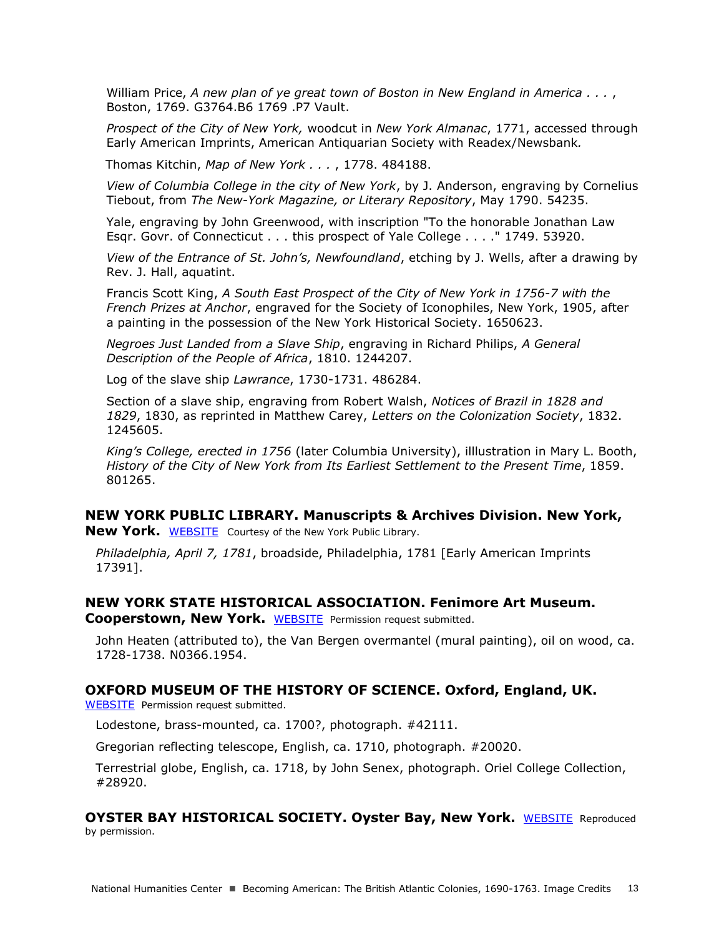William Price, *A new plan of ye great town of Boston in New England in America . . .* , Boston, 1769. G3764.B6 1769 .P7 Vault.

*Prospect of the City of New York,* woodcut in *New York Almanac*, 1771, accessed through Early American Imprints, American Antiquarian Society with Readex/Newsbank*.*

Thomas Kitchin, *Map of New York . . .* , 1778. 484188.

*View of Columbia College in the city of New York*, by J. Anderson, engraving by Cornelius Tiebout, from *The New-York Magazine, or Literary Repository*, May 1790. 54235.

Yale, engraving by John Greenwood, with inscription "To the honorable Jonathan Law Esqr. Govr. of Connecticut . . . this prospect of Yale College . . . ." 1749. 53920.

*View of the Entrance of St. John's, Newfoundland*, etching by J. Wells, after a drawing by Rev. J. Hall, aquatint.

Francis Scott King, *A South East Prospect of the City of New York in 1756-7 with the French Prizes at Anchor*, engraved for the Society of Iconophiles, New York, 1905, after a painting in the possession of the New York Historical Society. 1650623.

*Negroes Just Landed from a Slave Ship*, engraving in Richard Philips, *A General Description of the People of Africa*, 1810. 1244207.

Log of the slave ship *Lawrance*, 1730-1731. 486284.

Section of a slave ship, engraving from Robert Walsh, *Notices of Brazil in 1828 and 1829*, 1830, as reprinted in Matthew Carey, *Letters on the Colonization Society*, 1832. 1245605.

*King's College, erected in 1756* (later Columbia University), illlustration in Mary L. Booth, *History of the City of New York from Its Earliest Settlement to the Present Time*, 1859. 801265.

## **NEW YORK PUBLIC LIBRARY. Manuscripts & Archives Division. New York,**

New York. [WEBSITE](http://www.nypl.org/locations/schwarzman/manuscripts-division) Courtesy of the New York Public Library.

*Philadelphia, April 7, 1781*, broadside, Philadelphia, 1781 [Early American Imprints 17391].

## **NEW YORK STATE HISTORICAL ASSOCIATION. Fenimore Art Museum.**

Cooperstown, New York. [WEBSITE](http://www.nysha.org/) Permission request submitted.

John Heaten (attributed to), the Van Bergen overmantel (mural painting), oil on wood, ca. 1728-1738. N0366.1954.

## **OXFORD MUSEUM OF THE HISTORY OF SCIENCE. Oxford, England, UK.**

[WEBSITE](http://www.mhs.ox.ac.uk/) Permission request submitted.

Lodestone, brass-mounted, ca. 1700?, photograph. #42111.

Gregorian reflecting telescope, English, ca. 1710, photograph. #20020.

Terrestrial globe, English, ca. 1718, by John Senex, photograph. Oriel College Collection, #28920.

## **OYSTER BAY HISTORICAL SOCIETY. Oyster Bay, New York.** [WEBSITE](http://www.oysterbayhistorical.org/) Reproduced

by permission.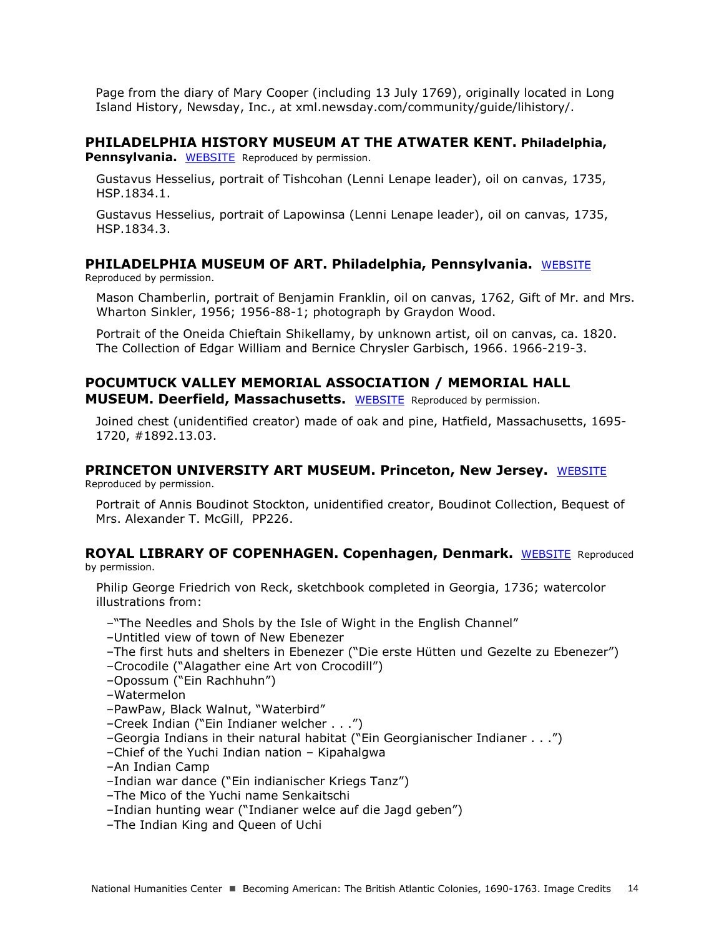Page from the diary of Mary Cooper (including 13 July 1769), originally located in Long Island History, Newsday, Inc., at xml.newsday.com/community/guide/lihistory/.

## **PHILADELPHIA HISTORY MUSEUM AT THE ATWATER KENT. Philadelphia,**

**Pennsylvania.** [WEBSITE](http://www.philadelphiahistory.org/) Reproduced by permission.

Gustavus Hesselius, portrait of Tishcohan (Lenni Lenape leader), oil on canvas, 1735, HSP.1834.1.

Gustavus Hesselius, portrait of Lapowinsa (Lenni Lenape leader), oil on canvas, 1735, HSP.1834.3.

## **PHILADELPHIA MUSEUM OF ART. Philadelphia, Pennsylvania.** [WEBSITE](http://www.philamuseum.org/)

Reproduced by permission.

Mason Chamberlin, portrait of Benjamin Franklin, oil on canvas, 1762, Gift of Mr. and Mrs. Wharton Sinkler, 1956; 1956-88-1; photograph by Graydon Wood.

Portrait of the Oneida Chieftain Shikellamy, by unknown artist, oil on canvas, ca. 1820. The Collection of Edgar William and Bernice Chrysler Garbisch, 1966. 1966-219-3.

## **POCUMTUCK VALLEY MEMORIAL ASSOCIATION / MEMORIAL HALL MUSEUM. Deerfield, Massachusetts.** [WEBSITE](http://deerfield-ma.org/) Reproduced by permission.

Joined chest (unidentified creator) made of oak and pine, Hatfield, Massachusetts, 1695- 1720, #1892.13.03.

## **PRINCETON UNIVERSITY ART MUSEUM. Princeton, New Jersey.** [WEBSITE](http://www.princetonartmuseum.org/)

Reproduced by permission.

Portrait of Annis Boudinot Stockton, unidentified creator, Boudinot Collection, Bequest of Mrs. Alexander T. McGill, PP226.

## **ROYAL LIBRARY OF COPENHAGEN. Copenhagen, Denmark.** [WEBSITE](http://www.kb.dk/da/index.html) Reproduced

by permission.

Philip George Friedrich von Reck, sketchbook completed in Georgia, 1736; watercolor illustrations from:

–"The Needles and Shols by the Isle of Wight in the English Channel"

- –Untitled view of town of New Ebenezer
- –The first huts and shelters in Ebenezer ("Die erste Hütten und Gezelte zu Ebenezer")
- –Crocodile ("Alagather eine Art von Crocodill")
- –Opossum ("Ein Rachhuhn")
- –Watermelon
- –PawPaw, Black Walnut, "Waterbird"
- –Creek Indian ("Ein Indianer welcher . . .")
- –Georgia Indians in their natural habitat ("Ein Georgianischer Indianer . . .")
- –Chief of the Yuchi Indian nation Kipahalgwa
- –An Indian Camp
- –Indian war dance ("Ein indianischer Kriegs Tanz")
- –The Mico of the Yuchi name Senkaitschi
- –Indian hunting wear ("Indianer welce auf die Jagd geben")
- –The Indian King and Queen of Uchi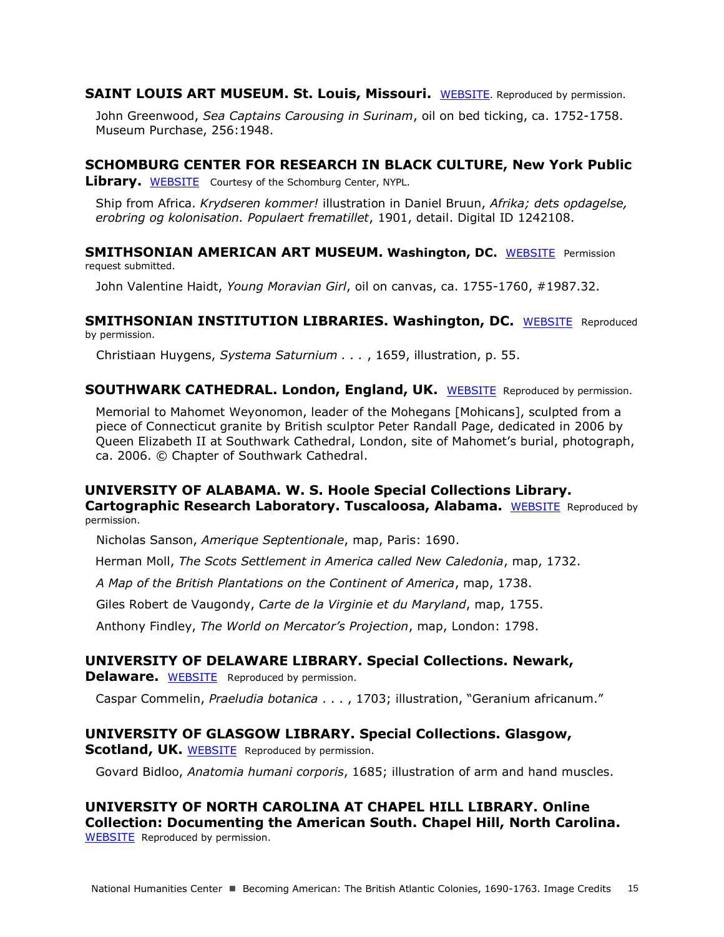**SAINT LOUIS ART MUSEUM. St. Louis, Missouri.** [WEBSITE](http://www.slam.org/). Reproduced by permission.

John Greenwood, *Sea Captains Carousing in Surinam*, oil on bed ticking, ca. 1752-1758. Museum Purchase, 256:1948.

## **SCHOMBURG CENTER FOR RESEARCH IN BLACK CULTURE, New York Public**

**Library.** [WEBSITE](http://www.nypl.org/locations/schomburg) Courtesy of the Schomburg Center, NYPL.

Ship from Africa. *Krydseren kommer!* illustration in Daniel Bruun, *Afrika; dets opdagelse, erobring og kolonisation. Populaert frematillet*, 1901, detail. Digital ID 1242108.

**SMITHSONIAN AMERICAN ART MUSEUM. Washington, DC. [WEBSITE](http://americanart.si.edu/) Permission** request submitted.

John Valentine Haidt, *Young Moravian Girl*, oil on canvas, ca. 1755-1760, #1987.32.

**SMITHSONIAN INSTITUTION LIBRARIES. Washington, DC. [WEBSITE](http://www.sil.si.edu/DigitalCollections/HST/Huygens/huygens.htm) Reproduced** by permission.

Christiaan Huygens, *Systema Saturnium . . .* , 1659, illustration, p. 55.

## **SOUTHWARK CATHEDRAL. London, England, UK.** [WEBSITE](http://cathedral.southwark.anglican.org/) Reproduced by permission.

Memorial to Mahomet Weyonomon, leader of the Mohegans [Mohicans], sculpted from a piece of Connecticut granite by British sculptor Peter Randall Page, dedicated in 2006 by Queen Elizabeth II at Southwark Cathedral, London, site of Mahomet's burial, photograph, ca. 2006. © Chapter of Southwark Cathedral.

## **UNIVERSITY OF ALABAMA. W. S. Hoole Special Collections Library.**

**Cartographic Research Laboratory. Tuscaloosa, Alabama.** [WEBSITE](http://alabamamaps.ua.edu/index.html) Reproduced by permission.

Nicholas Sanson, *Amerique Septentionale*, map, Paris: 1690.

Herman Moll, *The Scots Settlement in America called New Caledonia*, map, 1732.

*A Map of the British Plantations on the Continent of America*, map, 1738.

Giles Robert de Vaugondy, *Carte de la Virginie et du Maryland*, map, 1755.

Anthony Findley, *The World on Mercator's Projection*, map, London: 1798.

## **UNIVERSITY OF DELAWARE LIBRARY. Special Collections. Newark,**

**Delaware.** [WEBSITE](http://www.lib.udel.edu/ud/spec/exhibits/hort/herbals.htm) Reproduced by permission.

Caspar Commelin, *Praeludia botanica* . . . , 1703; illustration, "Geranium africanum."

### **UNIVERSITY OF GLASGOW LIBRARY. Special Collections. Glasgow,**

**Scotland, UK. [WEBSITE](http://www.gla.ac.uk/)** Reproduced by permission.

Govard Bidloo, *Anatomia humani corporis*, 1685; illustration of arm and hand muscles.

### **UNIVERSITY OF NORTH CAROLINA AT CHAPEL HILL LIBRARY. Online Collection: Documenting the American South. Chapel Hill, North Carolina.**  [WEBSITE](http://docsouth.unc.edu/nc/lawson/menu.html) Reproduced by permission.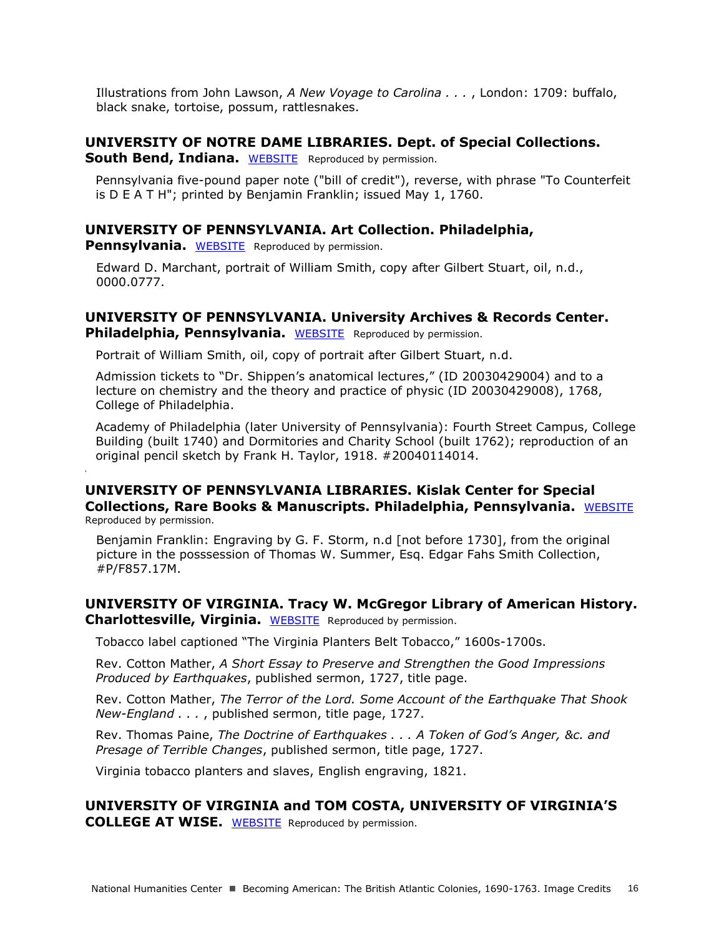Illustrations from John Lawson, *A New Voyage to Carolina . . .* , London: 1709: buffalo, black snake, tortoise, possum, rattlesnakes.

### **UNIVERSITY OF NOTRE DAME LIBRARIES. Dept. of Special Collections. South Bend, Indiana.** [WEBSITE](http://www.coins.nd.edu/ColCoin/) Reproduced by permission.

Pennsylvania five-pound paper note ("bill of credit"), reverse, with phrase "To Counterfeit is D E A T H"; printed by Benjamin Franklin; issued May 1, 1760.

## **UNIVERSITY OF PENNSYLVANIA. Art Collection. Philadelphia,**

**Pennsylvania.** [WEBSITE](http://www.upenn.edu/curator/collection.html) Reproduced by permission.

**'**

Edward D. Marchant, portrait of William Smith, copy after Gilbert Stuart, oil, n.d., 0000.0777.

### **UNIVERSITY OF PENNSYLVANIA. University Archives & Records Center. Philadelphia, Pennsylvania.** [WEBSITE](http://www.archives.upenn.edu/) Reproduced by permission.

Portrait of William Smith, oil, copy of portrait after Gilbert Stuart, n.d.

Admission tickets to "Dr. Shippen's anatomical lectures," (ID 20030429004) and to a lecture on chemistry and the theory and practice of physic (ID 20030429008), 1768, College of Philadelphia.

Academy of Philadelphia (later University of Pennsylvania): Fourth Street Campus, College Building (built 1740) and Dormitories and Charity School (built 1762); reproduction of an original pencil sketch by Frank H. Taylor, 1918. #20040114014.

### **UNIVERSITY OF PENNSYLVANIA LIBRARIES. Kislak Center for Special Collections, Rare Books & Manuscripts. Philadelphia, Pennsylvania.** [WEBSITE](http://www.library.upenn.edu/rbm/) Reproduced by permission.

Benjamin Franklin: Engraving by G. F. Storm, n.d [not before 1730], from the original picture in the posssession of Thomas W. Summer, Esq. Edgar Fahs Smith Collection, #P/F857.17M.

### **UNIVERSITY OF VIRGINIA. Tracy W. McGregor Library of American History. Charlottesville, Virginia.** [WEBSITE](http://www2.lib.virginia.edu/small/collections/mcgregor/) Reproduced by permission.

Tobacco label captioned "The Virginia Planters Belt Tobacco," 1600s-1700s.

Rev. Cotton Mather, *A Short Essay to Preserve and Strengthen the Good Impressions Produced by Earthquakes*, published sermon, 1727, title page.

Rev. Cotton Mather, *The Terror of the Lord. Some Account of the Earthquake That Shook New-England . . .* , published sermon, title page, 1727.

Rev. Thomas Paine, *The Doctrine of Earthquakes . . . A Token of God's Anger, &c. and Presage of Terrible Changes*, published sermon, title page, 1727.

Virginia tobacco planters and slaves, English engraving, 1821.

### **UNIVERSITY OF VIRGINIA and TOM COSTA, UNIVERSITY OF VIRGINIA'S COLLEGE AT WISE.** [WEBSITE](http://www2.vcdh.virginia.edu/gos/) Reproduced by permission.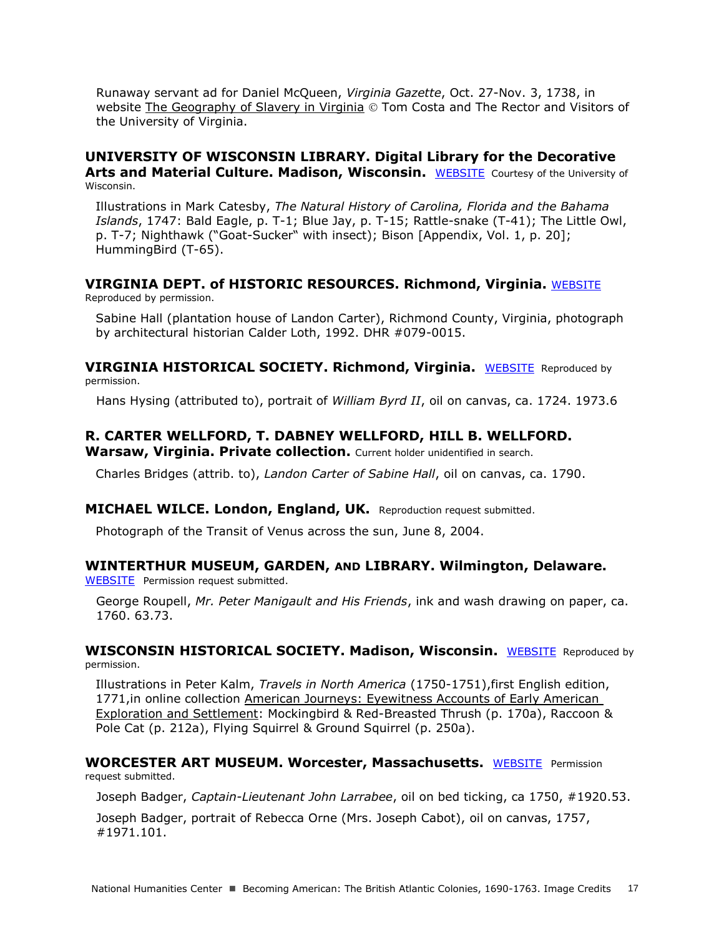Runaway servant ad for Daniel McQueen, *Virginia Gazette*, Oct. 27-Nov. 3, 1738, in website [The Geography of Slavery in Virginia](http://www2.vcdh.virginia.edu/gos/)  $\circledcirc$  Tom Costa and The Rector and Visitors of the University of Virginia.

### **UNIVERSITY OF WISCONSIN LIBRARY. Digital Library for the Decorative Arts and Material Culture. Madison, Wisconsin.** [WEBSITE](http://digital.library.wisc.edu/1711.dl/DLDecArts) Courtesy of the University of Wisconsin.

Illustrations in Mark Catesby, *The Natural History of Carolina, Florida and the Bahama Islands*, 1747: Bald Eagle, p. T-1; Blue Jay, p. T-15; Rattle-snake (T-41); The Little Owl, p. T-7; Nighthawk ("Goat-Sucker" with insect); Bison [Appendix, Vol. 1, p. 20]; HummingBird (T-65).

### **VIRGINIA DEPT. of HISTORIC RESOURCES. Richmond, Virginia.** [WEBSITE](http://www.dhr.virginia.gov/) Reproduced by permission.

Sabine Hall (plantation house of Landon Carter), Richmond County, Virginia, photograph by architectural historian Calder Loth, 1992. DHR #079-0015.

**VIRGINIA HISTORICAL SOCIETY. Richmond, Virginia.** [WEBSITE](http://www.vahistorical.org/) Reproduced by permission.

Hans Hysing (attributed to), portrait of *William Byrd II*, oil on canvas, ca. 1724. 1973.6

## **R. CARTER WELLFORD, T. DABNEY WELLFORD, HILL B. WELLFORD.**

**Warsaw, Virginia. Private collection.** Current holder unidentified in search.

Charles Bridges (attrib. to), *Landon Carter of Sabine Hall*, oil on canvas, ca. 1790.

### **MICHAEL WILCE. London, England, UK.** Reproduction request submitted.

Photograph of the Transit of Venus across the sun, June 8, 2004.

## **WINTERTHUR MUSEUM, GARDEN, AND LIBRARY. Wilmington, Delaware.**

[WEBSITE](http://www.winterthur.org/) Permission request submitted.

George Roupell, *Mr. Peter Manigault and His Friends*, ink and wash drawing on paper, ca. 1760. 63.73.

**WISCONSIN HISTORICAL SOCIETY. Madison, Wisconsin.** [WEBSITE](http://www.wisconsinhistory.org/) Reproduced by permission.

Illustrations in Peter Kalm, *Travels in North America* (1750-1751),first English edition, 1771,in online collection [American Journeys: Eyewitness Accounts of Early American](http://www.americanjourneys.org/index.asp.)  [Exploration and Settlement:](http://www.americanjourneys.org/index.asp.) Mockingbird & Red-Breasted Thrush (p. 170a), Raccoon & Pole Cat (p. 212a), Flying Squirrel & Ground Squirrel (p. 250a).

### **WORCESTER ART MUSEUM. Worcester, Massachusetts.** [WEBSITE](http://www.worcesterart.org/) Permission request submitted.

Joseph Badger, *Captain-Lieutenant John Larrabee*, oil on bed ticking, ca 1750, #1920.53.

Joseph Badger, portrait of Rebecca Orne (Mrs. Joseph Cabot), oil on canvas, 1757, #1971.101.